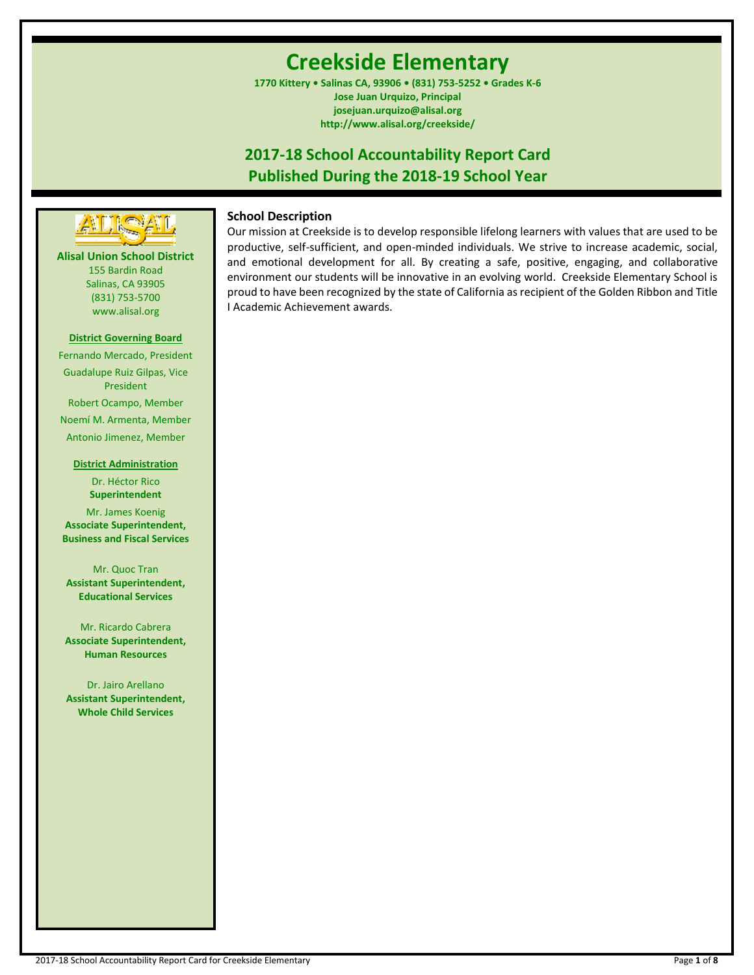# **Creekside Elementary**

**1770 Kittery • Salinas CA, 93906 • (831) 753-5252 • Grades K-6 Jose Juan Urquizo, Principal josejuan.urquizo@alisal.org http://www.alisal.org/creekside/**

## **2017-18 School Accountability Report Card Published During the 2018-19 School Year**



**Alisal Union School District** 155 Bardin Road Salinas, CA 93905 (831) 753-5700 www.alisal.org

#### **District Governing Board**

Fernando Mercado, President Guadalupe Ruiz Gilpas, Vice President Robert Ocampo, Member Noemí M. Armenta, Member Antonio Jimenez, Member

#### **District Administration**

Dr. Héctor Rico **Superintendent** Mr. James Koenig **Associate Superintendent, Business and Fiscal Services**

Mr. Quoc Tran **Assistant Superintendent, Educational Services**

Mr. Ricardo Cabrera **Associate Superintendent, Human Resources**

Dr. Jairo Arellano **Assistant Superintendent, Whole Child Services**

## **School Description**

Our mission at Creekside is to develop responsible lifelong learners with values that are used to be productive, self-sufficient, and open-minded individuals. We strive to increase academic, social, and emotional development for all. By creating a safe, positive, engaging, and collaborative environment our students will be innovative in an evolving world. Creekside Elementary School is proud to have been recognized by the state of California as recipient of the Golden Ribbon and Title I Academic Achievement awards.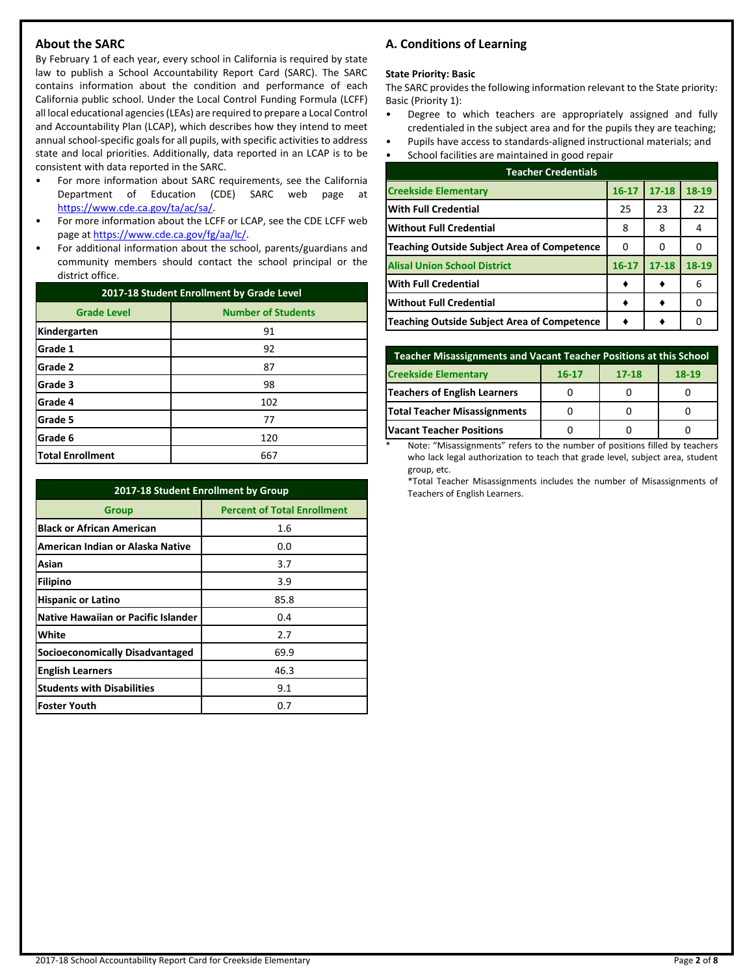## **About the SARC**

By February 1 of each year, every school in California is required by state law to publish a School Accountability Report Card (SARC). The SARC contains information about the condition and performance of each California public school. Under the Local Control Funding Formula (LCFF) all local educational agencies (LEAs) are required to prepare a Local Control and Accountability Plan (LCAP), which describes how they intend to meet annual school-specific goals for all pupils, with specific activities to address state and local priorities. Additionally, data reported in an LCAP is to be consistent with data reported in the SARC.

- For more information about SARC requirements, see the California Department of Education (CDE) SARC web page at [https://www.cde.ca.gov/ta/ac/sa/.](https://www.cde.ca.gov/ta/ac/sa/)
- For more information about the LCFF or LCAP, see the CDE LCFF web page at [https://www.cde.ca.gov/fg/aa/lc/.](https://www.cde.ca.gov/fg/aa/lc/)
- For additional information about the school, parents/guardians and community members should contact the school principal or the district office.

| 2017-18 Student Enrollment by Grade Level       |     |  |  |  |  |
|-------------------------------------------------|-----|--|--|--|--|
| <b>Number of Students</b><br><b>Grade Level</b> |     |  |  |  |  |
| Kindergarten                                    | 91  |  |  |  |  |
| Grade 1                                         | 92  |  |  |  |  |
| Grade 2                                         | 87  |  |  |  |  |
| Grade 3                                         | 98  |  |  |  |  |
| Grade 4                                         | 102 |  |  |  |  |
| Grade 5                                         | 77  |  |  |  |  |
| Grade 6                                         | 120 |  |  |  |  |
| <b>Total Enrollment</b>                         | 667 |  |  |  |  |

| 2017-18 Student Enrollment by Group        |                                    |  |  |  |
|--------------------------------------------|------------------------------------|--|--|--|
| <b>Group</b>                               | <b>Percent of Total Enrollment</b> |  |  |  |
| <b>Black or African American</b>           | 1.6                                |  |  |  |
| American Indian or Alaska Native           | 0.0                                |  |  |  |
| Asian                                      | 3.7                                |  |  |  |
| Filipino                                   | 3.9                                |  |  |  |
| <b>Hispanic or Latino</b>                  | 85.8                               |  |  |  |
| <b>Native Hawaiian or Pacific Islander</b> | 0.4                                |  |  |  |
| White                                      | 2.7                                |  |  |  |
| <b>Socioeconomically Disadvantaged</b>     | 69.9                               |  |  |  |
| <b>English Learners</b>                    | 46.3                               |  |  |  |
| <b>Students with Disabilities</b>          | 9.1                                |  |  |  |
| <b>Foster Youth</b>                        | 0.7                                |  |  |  |

## **A. Conditions of Learning**

#### **State Priority: Basic**

The SARC provides the following information relevant to the State priority: Basic (Priority 1):

- Degree to which teachers are appropriately assigned and fully credentialed in the subject area and for the pupils they are teaching;
- Pupils have access to standards-aligned instructional materials; and • School facilities are maintained in good repair

| <b>Teacher Credentials</b>                  |           |           |       |  |  |
|---------------------------------------------|-----------|-----------|-------|--|--|
| <b>Creekside Elementary</b>                 | $16 - 17$ | $17 - 18$ | 18-19 |  |  |
| <b>With Full Credential</b>                 | 25        | 23        | 22    |  |  |
| <b>Without Full Credential</b>              | 8         | 8         | 4     |  |  |
| Teaching Outside Subject Area of Competence | O         | O         | 0     |  |  |
| <b>Alisal Union School District</b>         | $16 - 17$ | $17 - 18$ | 18-19 |  |  |
| <b>With Full Credential</b>                 |           |           | 6     |  |  |
| <b>Without Full Credential</b>              |           |           | 0     |  |  |
| Teaching Outside Subject Area of Competence |           |           |       |  |  |

| Teacher Misassignments and Vacant Teacher Positions at this School |  |  |  |  |  |  |  |
|--------------------------------------------------------------------|--|--|--|--|--|--|--|
| <b>Creekside Elementary</b><br>$18-19$<br>$17 - 18$<br>$16 - 17$   |  |  |  |  |  |  |  |
| <b>Teachers of English Learners</b>                                |  |  |  |  |  |  |  |
| Total Teacher Misassignments                                       |  |  |  |  |  |  |  |
| <b>Vacant Teacher Positions</b>                                    |  |  |  |  |  |  |  |

Note: "Misassignments" refers to the number of positions filled by teachers who lack legal authorization to teach that grade level, subject area, student group, etc.

\*Total Teacher Misassignments includes the number of Misassignments of Teachers of English Learners.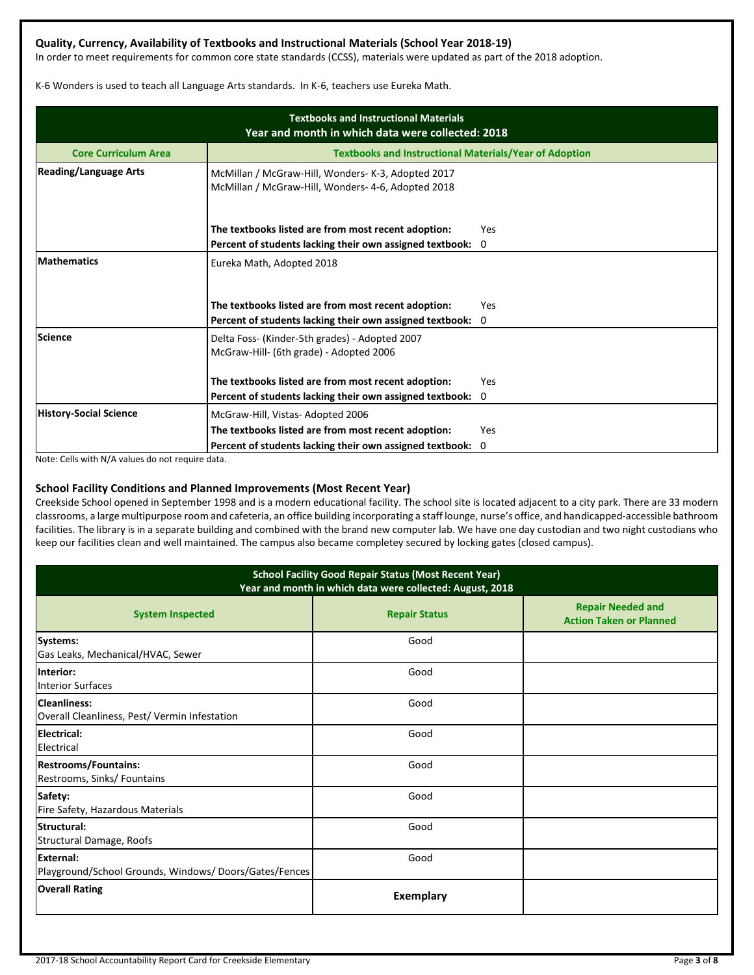## **Quality, Currency, Availability of Textbooks and Instructional Materials (School Year 2018-19)**

In order to meet requirements for common core state standards (CCSS), materials were updated as part of the 2018 adoption.

K-6 Wonders is used to teach all Language Arts standards. In K-6, teachers use Eureka Math.

| <b>Textbooks and Instructional Materials</b><br>Year and month in which data were collected: 2018 |                                                                                                                   |                 |  |  |  |  |
|---------------------------------------------------------------------------------------------------|-------------------------------------------------------------------------------------------------------------------|-----------------|--|--|--|--|
| <b>Core Curriculum Area</b>                                                                       | <b>Textbooks and Instructional Materials/Year of Adoption</b>                                                     |                 |  |  |  |  |
| <b>Reading/Language Arts</b>                                                                      | McMillan / McGraw-Hill, Wonders- K-3, Adopted 2017<br>McMillan / McGraw-Hill, Wonders- 4-6, Adopted 2018          |                 |  |  |  |  |
|                                                                                                   | The textbooks listed are from most recent adoption:                                                               | Yes             |  |  |  |  |
| <b>Mathematics</b>                                                                                | Percent of students lacking their own assigned textbook:<br>$\mathbf 0$<br>Eureka Math, Adopted 2018              |                 |  |  |  |  |
|                                                                                                   | The textbooks listed are from most recent adoption:<br>Percent of students lacking their own assigned textbook:   | Yes<br>$\Omega$ |  |  |  |  |
| <b>Science</b>                                                                                    | Delta Foss- (Kinder-5th grades) - Adopted 2007<br>McGraw-Hill- (6th grade) - Adopted 2006                         |                 |  |  |  |  |
|                                                                                                   | The textbooks listed are from most recent adoption:<br>Percent of students lacking their own assigned textbook: 0 | Yes             |  |  |  |  |
| <b>History-Social Science</b>                                                                     | McGraw-Hill, Vistas-Adopted 2006                                                                                  |                 |  |  |  |  |
|                                                                                                   | The textbooks listed are from most recent adoption:                                                               | Yes             |  |  |  |  |
|                                                                                                   | Percent of students lacking their own assigned textbook: 0                                                        |                 |  |  |  |  |

Note: Cells with N/A values do not require data.

### **School Facility Conditions and Planned Improvements (Most Recent Year)**

Creekside School opened in September 1998 and is a modern educational facility. The school site is located adjacent to a city park. There are 33 modern classrooms, a large multipurpose room and cafeteria, an office building incorporating a staff lounge, nurse's office, and handicapped-accessible bathroom facilities. The library is in a separate building and combined with the brand new computer lab. We have one day custodian and two night custodians who keep our facilities clean and well maintained. The campus also became completey secured by locking gates (closed campus).

| <b>School Facility Good Repair Status (Most Recent Year)</b><br>Year and month in which data were collected: August, 2018 |                      |                                                            |  |  |  |
|---------------------------------------------------------------------------------------------------------------------------|----------------------|------------------------------------------------------------|--|--|--|
| <b>System Inspected</b>                                                                                                   | <b>Repair Status</b> | <b>Repair Needed and</b><br><b>Action Taken or Planned</b> |  |  |  |
| Systems:<br>Gas Leaks, Mechanical/HVAC, Sewer                                                                             | Good                 |                                                            |  |  |  |
| Interior:<br><b>Interior Surfaces</b>                                                                                     | Good                 |                                                            |  |  |  |
| Cleanliness:<br>Overall Cleanliness, Pest/ Vermin Infestation                                                             | Good                 |                                                            |  |  |  |
| Electrical:<br>Electrical                                                                                                 | Good                 |                                                            |  |  |  |
| <b>Restrooms/Fountains:</b><br>Restrooms, Sinks/ Fountains                                                                | Good                 |                                                            |  |  |  |
| Safety:<br>Fire Safety, Hazardous Materials                                                                               | Good                 |                                                            |  |  |  |
| Structural:<br>Structural Damage, Roofs                                                                                   | Good                 |                                                            |  |  |  |
| External:<br>Playground/School Grounds, Windows/Doors/Gates/Fences                                                        | Good                 |                                                            |  |  |  |
| <b>Overall Rating</b>                                                                                                     | <b>Exemplary</b>     |                                                            |  |  |  |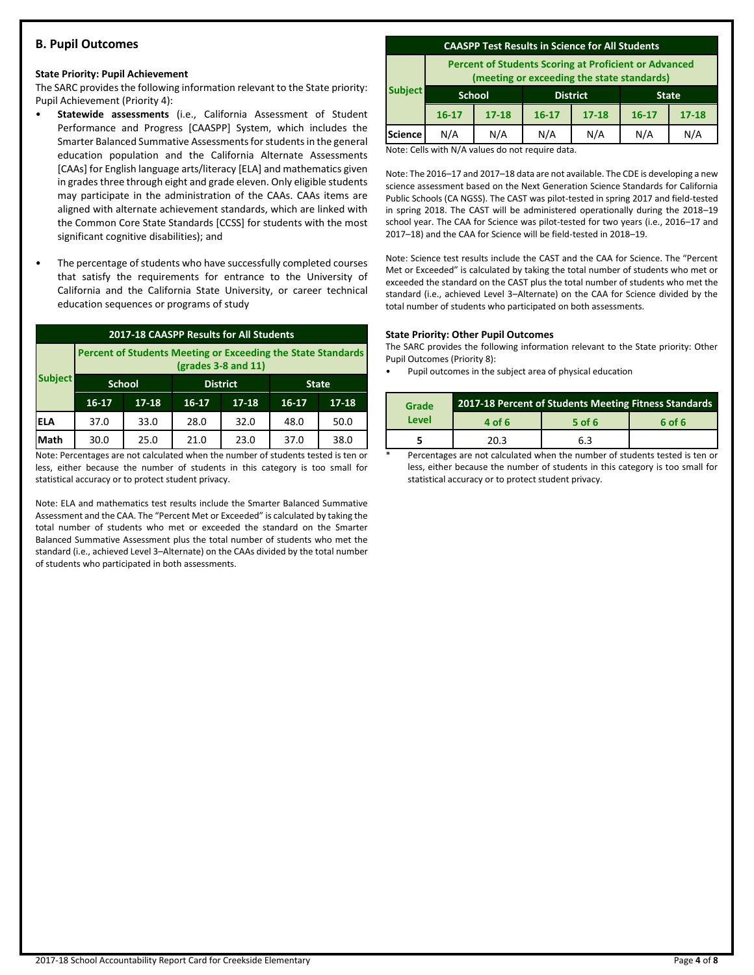## **B. Pupil Outcomes**

#### **State Priority: Pupil Achievement**

The SARC provides the following information relevant to the State priority: Pupil Achievement (Priority 4):

- **Statewide assessments** (i.e., California Assessment of Student Performance and Progress [CAASPP] System, which includes the Smarter Balanced Summative Assessments for students in the general education population and the California Alternate Assessments [CAAs] for English language arts/literacy [ELA] and mathematics given in grades three through eight and grade eleven. Only eligible students may participate in the administration of the CAAs. CAAs items are aligned with alternate achievement standards, which are linked with the Common Core State Standards [CCSS] for students with the most significant cognitive disabilities); and
- The percentage of students who have successfully completed courses that satisfy the requirements for entrance to the University of California and the California State University, or career technical education sequences or programs of study

| 2017-18 CAASPP Results for All Students                                                 |           |               |           |                 |           |              |  |
|-----------------------------------------------------------------------------------------|-----------|---------------|-----------|-----------------|-----------|--------------|--|
| Percent of Students Meeting or Exceeding the State Standards<br>$2$ (grades 3-8 and 11) |           |               |           |                 |           |              |  |
| <b>Subject</b>                                                                          |           | <b>School</b> |           | <b>District</b> |           | <b>State</b> |  |
|                                                                                         | $16 - 17$ | $17 - 18$     | $16 - 17$ | $17 - 18$       | $16 - 17$ | $17 - 18$    |  |
| <b>ELA</b>                                                                              | 37.0      | 33.0          | 28.0      | 32.0            | 48.0      | 50.0         |  |
| Math                                                                                    | 30.0      | 25.0          | 21.0      | 23.0            | 37.0      | 38.0         |  |

Note: Percentages are not calculated when the number of students tested is ten or less, either because the number of students in this category is too small for statistical accuracy or to protect student privacy.

Note: ELA and mathematics test results include the Smarter Balanced Summative Assessment and the CAA. The "Percent Met or Exceeded" is calculated by taking the total number of students who met or exceeded the standard on the Smarter Balanced Summative Assessment plus the total number of students who met the standard (i.e., achieved Level 3–Alternate) on the CAAs divided by the total number of students who participated in both assessments.

#### **CAASPP Test Results in Science for All Students**

**Percent of Students Scoring at Proficient or Advanced (meeting or exceeding the state standards)**

|                | lineeting of exceeding the state standards, |               |                 |           |              |           |
|----------------|---------------------------------------------|---------------|-----------------|-----------|--------------|-----------|
| <b>Subject</b> |                                             | <b>School</b> | <b>District</b> |           | <b>State</b> |           |
|                | $16 - 17$                                   | $17 - 18$     | $16 - 17$       | $17 - 18$ | $16 - 17$    | $17 - 18$ |
| <b>Science</b> | N/A                                         | N/A           | N/A             | N/A       | N/A          | N/A       |
|                | .                                           | $\sim$ $\sim$ | $\sim$ $\sim$   |           |              |           |

Note: Cells with N/A values do not require data.

Note: The 2016–17 and 2017–18 data are not available. The CDE is developing a new science assessment based on the Next Generation Science Standards for California Public Schools (CA NGSS). The CAST was pilot-tested in spring 2017 and field-tested in spring 2018. The CAST will be administered operationally during the 2018–19 school year. The CAA for Science was pilot-tested for two years (i.e., 2016–17 and 2017–18) and the CAA for Science will be field-tested in 2018–19.

Note: Science test results include the CAST and the CAA for Science. The "Percent Met or Exceeded" is calculated by taking the total number of students who met or exceeded the standard on the CAST plus the total number of students who met the standard (i.e., achieved Level 3–Alternate) on the CAA for Science divided by the total number of students who participated on both assessments.

#### **State Priority: Other Pupil Outcomes**

The SARC provides the following information relevant to the State priority: Other Pupil Outcomes (Priority 8):

Pupil outcomes in the subject area of physical education

| Grade |        | 2017-18 Percent of Students Meeting Fitness Standards |        |
|-------|--------|-------------------------------------------------------|--------|
| Level | 4 of 6 | 5 of 6                                                | 6 of 6 |
|       | วก จ   | 6.3                                                   |        |

Percentages are not calculated when the number of students tested is ten or less, either because the number of students in this category is too small for statistical accuracy or to protect student privacy.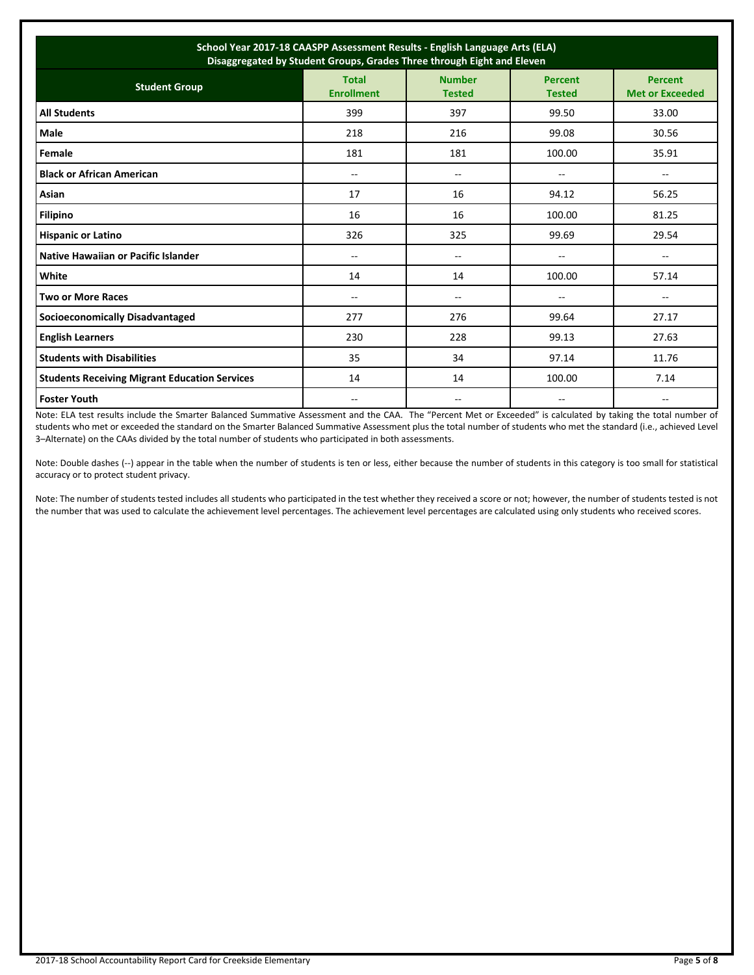| School Year 2017-18 CAASPP Assessment Results - English Language Arts (ELA)<br>Disaggregated by Student Groups, Grades Three through Eight and Eleven |                                   |                                |                                 |                                          |  |
|-------------------------------------------------------------------------------------------------------------------------------------------------------|-----------------------------------|--------------------------------|---------------------------------|------------------------------------------|--|
| <b>Student Group</b>                                                                                                                                  | <b>Total</b><br><b>Enrollment</b> | <b>Number</b><br><b>Tested</b> | <b>Percent</b><br><b>Tested</b> | <b>Percent</b><br><b>Met or Exceeded</b> |  |
| <b>All Students</b>                                                                                                                                   | 399                               | 397                            | 99.50                           | 33.00                                    |  |
| Male                                                                                                                                                  | 218                               | 216                            | 99.08                           | 30.56                                    |  |
| Female                                                                                                                                                | 181                               | 181                            | 100.00                          | 35.91                                    |  |
| <b>Black or African American</b>                                                                                                                      | $\overline{a}$                    | $- -$                          | $-1$                            | $\overline{\phantom{a}}$                 |  |
| Asian                                                                                                                                                 | 17                                | 16                             | 94.12                           | 56.25                                    |  |
| <b>Filipino</b>                                                                                                                                       | 16                                | 16                             | 100.00                          | 81.25                                    |  |
| <b>Hispanic or Latino</b>                                                                                                                             | 326                               | 325                            | 99.69                           | 29.54                                    |  |
| Native Hawaiian or Pacific Islander                                                                                                                   | --                                | --                             | --                              | --                                       |  |
| White                                                                                                                                                 | 14                                | 14                             | 100.00                          | 57.14                                    |  |
| <b>Two or More Races</b>                                                                                                                              | $-$                               | $\overline{a}$                 | --                              | --                                       |  |
| <b>Socioeconomically Disadvantaged</b>                                                                                                                | 277                               | 276                            | 99.64                           | 27.17                                    |  |
| <b>English Learners</b>                                                                                                                               | 230                               | 228                            | 99.13                           | 27.63                                    |  |
| <b>Students with Disabilities</b>                                                                                                                     | 35                                | 34                             | 97.14                           | 11.76                                    |  |
| <b>Students Receiving Migrant Education Services</b>                                                                                                  | 14                                | 14                             | 100.00                          | 7.14                                     |  |
| <b>Foster Youth</b>                                                                                                                                   | --                                |                                |                                 | --                                       |  |

Note: ELA test results include the Smarter Balanced Summative Assessment and the CAA. The "Percent Met or Exceeded" is calculated by taking the total number of students who met or exceeded the standard on the Smarter Balanced Summative Assessment plus the total number of students who met the standard (i.e., achieved Level 3–Alternate) on the CAAs divided by the total number of students who participated in both assessments.

Note: Double dashes (--) appear in the table when the number of students is ten or less, either because the number of students in this category is too small for statistical accuracy or to protect student privacy.

Note: The number of students tested includes all students who participated in the test whether they received a score or not; however, the number of students tested is not the number that was used to calculate the achievement level percentages. The achievement level percentages are calculated using only students who received scores.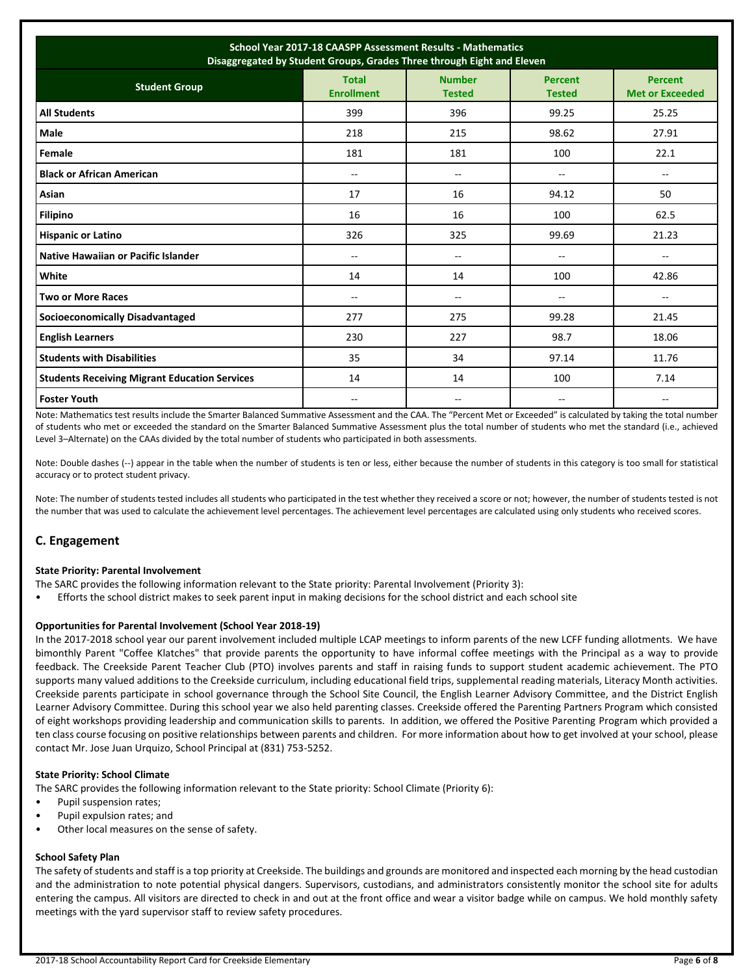| School Year 2017-18 CAASPP Assessment Results - Mathematics<br>Disaggregated by Student Groups, Grades Three through Eight and Eleven                                      |     |                |                          |                          |  |  |  |
|----------------------------------------------------------------------------------------------------------------------------------------------------------------------------|-----|----------------|--------------------------|--------------------------|--|--|--|
| <b>Number</b><br><b>Total</b><br><b>Percent</b><br><b>Percent</b><br><b>Student Group</b><br><b>Enrollment</b><br><b>Met or Exceeded</b><br><b>Tested</b><br><b>Tested</b> |     |                |                          |                          |  |  |  |
| <b>All Students</b>                                                                                                                                                        | 399 | 396            | 99.25                    | 25.25                    |  |  |  |
| Male                                                                                                                                                                       | 218 | 215            | 98.62                    | 27.91                    |  |  |  |
| Female                                                                                                                                                                     | 181 | 181            | 100                      | 22.1                     |  |  |  |
| <b>Black or African American</b>                                                                                                                                           | $-$ | $\overline{a}$ | $\overline{\phantom{a}}$ | $\overline{\phantom{a}}$ |  |  |  |
| Asian                                                                                                                                                                      | 17  | 16             | 94.12                    | 50                       |  |  |  |
| <b>Filipino</b>                                                                                                                                                            | 16  | 16             | 100                      | 62.5                     |  |  |  |
| <b>Hispanic or Latino</b>                                                                                                                                                  | 326 | 325            | 99.69                    | 21.23                    |  |  |  |
| Native Hawaiian or Pacific Islander                                                                                                                                        | $-$ | --             | $\overline{a}$           | --                       |  |  |  |
| White                                                                                                                                                                      | 14  | 14             | 100                      | 42.86                    |  |  |  |
| <b>Two or More Races</b>                                                                                                                                                   | $-$ | --             | $-$                      | --                       |  |  |  |
| <b>Socioeconomically Disadvantaged</b>                                                                                                                                     | 277 | 275            | 99.28                    | 21.45                    |  |  |  |
| <b>English Learners</b>                                                                                                                                                    | 230 | 227            | 98.7                     | 18.06                    |  |  |  |
| <b>Students with Disabilities</b>                                                                                                                                          | 35  | 34             | 97.14                    | 11.76                    |  |  |  |
| <b>Students Receiving Migrant Education Services</b>                                                                                                                       | 14  | 14             | 100                      | 7.14                     |  |  |  |
| <b>Foster Youth</b>                                                                                                                                                        |     |                | --                       |                          |  |  |  |

Note: Mathematics test results include the Smarter Balanced Summative Assessment and the CAA. The "Percent Met or Exceeded" is calculated by taking the total number of students who met or exceeded the standard on the Smarter Balanced Summative Assessment plus the total number of students who met the standard (i.e., achieved Level 3–Alternate) on the CAAs divided by the total number of students who participated in both assessments.

Note: Double dashes (--) appear in the table when the number of students is ten or less, either because the number of students in this category is too small for statistical accuracy or to protect student privacy.

Note: The number of students tested includes all students who participated in the test whether they received a score or not; however, the number of students tested is not the number that was used to calculate the achievement level percentages. The achievement level percentages are calculated using only students who received scores.

## **C. Engagement**

#### **State Priority: Parental Involvement**

- The SARC provides the following information relevant to the State priority: Parental Involvement (Priority 3):
- Efforts the school district makes to seek parent input in making decisions for the school district and each school site

#### **Opportunities for Parental Involvement (School Year 2018-19)**

In the 2017-2018 school year our parent involvement included multiple LCAP meetings to inform parents of the new LCFF funding allotments. We have bimonthly Parent "Coffee Klatches" that provide parents the opportunity to have informal coffee meetings with the Principal as a way to provide feedback. The Creekside Parent Teacher Club (PTO) involves parents and staff in raising funds to support student academic achievement. The PTO supports many valued additions to the Creekside curriculum, including educational field trips, supplemental reading materials, Literacy Month activities. Creekside parents participate in school governance through the School Site Council, the English Learner Advisory Committee, and the District English Learner Advisory Committee. During this school year we also held parenting classes. Creekside offered the Parenting Partners Program which consisted of eight workshops providing leadership and communication skills to parents. In addition, we offered the Positive Parenting Program which provided a ten class course focusing on positive relationships between parents and children. For more information about how to get involved at your school, please contact Mr. Jose Juan Urquizo, School Principal at (831) 753-5252.

#### **State Priority: School Climate**

The SARC provides the following information relevant to the State priority: School Climate (Priority 6):

- Pupil suspension rates;
- Pupil expulsion rates; and
- Other local measures on the sense of safety.

## **School Safety Plan**

The safety of students and staff is a top priority at Creekside. The buildings and grounds are monitored and inspected each morning by the head custodian and the administration to note potential physical dangers. Supervisors, custodians, and administrators consistently monitor the school site for adults entering the campus. All visitors are directed to check in and out at the front office and wear a visitor badge while on campus. We hold monthly safety meetings with the yard supervisor staff to review safety procedures.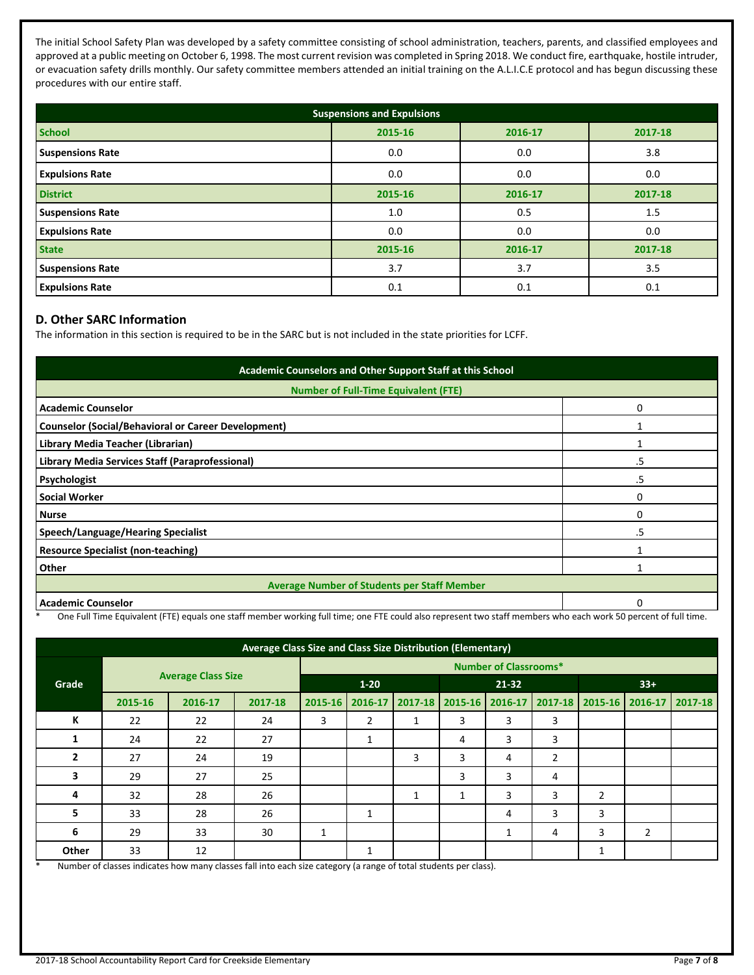The initial School Safety Plan was developed by a safety committee consisting of school administration, teachers, parents, and classified employees and approved at a public meeting on October 6, 1998. The most current revision was completed in Spring 2018. We conduct fire, earthquake, hostile intruder, or evacuation safety drills monthly. Our safety committee members attended an initial training on the A.L.I.C.E protocol and has begun discussing these procedures with our entire staff.

| <b>Suspensions and Expulsions</b> |         |         |         |  |  |
|-----------------------------------|---------|---------|---------|--|--|
| <b>School</b>                     | 2015-16 | 2016-17 | 2017-18 |  |  |
| <b>Suspensions Rate</b>           | 0.0     | 0.0     | 3.8     |  |  |
| <b>Expulsions Rate</b>            | 0.0     | 0.0     | 0.0     |  |  |
| <b>District</b>                   | 2015-16 | 2016-17 | 2017-18 |  |  |
| <b>Suspensions Rate</b>           | 1.0     | 0.5     | 1.5     |  |  |
| <b>Expulsions Rate</b>            | 0.0     | 0.0     | 0.0     |  |  |
| <b>State</b>                      | 2015-16 | 2016-17 | 2017-18 |  |  |
| <b>Suspensions Rate</b>           | 3.7     | 3.7     | 3.5     |  |  |
| <b>Expulsions Rate</b>            | 0.1     | 0.1     | 0.1     |  |  |

## **D. Other SARC Information**

The information in this section is required to be in the SARC but is not included in the state priorities for LCFF.

| Academic Counselors and Other Support Staff at this School |    |  |  |  |  |
|------------------------------------------------------------|----|--|--|--|--|
| <b>Number of Full-Time Equivalent (FTE)</b>                |    |  |  |  |  |
| <b>Academic Counselor</b>                                  | O  |  |  |  |  |
| <b>Counselor (Social/Behavioral or Career Development)</b> |    |  |  |  |  |
| Library Media Teacher (Librarian)                          |    |  |  |  |  |
| Library Media Services Staff (Paraprofessional)            | .5 |  |  |  |  |
| Psychologist                                               | .5 |  |  |  |  |
| <b>Social Worker</b>                                       | ი  |  |  |  |  |
| <b>Nurse</b>                                               | 0  |  |  |  |  |
| Speech/Language/Hearing Specialist                         | .5 |  |  |  |  |
| <b>Resource Specialist (non-teaching)</b>                  |    |  |  |  |  |
| Other                                                      |    |  |  |  |  |
| <b>Average Number of Students per Staff Member</b>         |    |  |  |  |  |
| <b>Academic Counselor</b>                                  |    |  |  |  |  |

\* One Full Time Equivalent (FTE) equals one staff member working full time; one FTE could also represent two staff members who each work 50 percent of full time.

| Average Class Size and Class Size Distribution (Elementary) |                           |         |          |                              |           |   |                 |       |                                         |                |                |  |
|-------------------------------------------------------------|---------------------------|---------|----------|------------------------------|-----------|---|-----------------|-------|-----------------------------------------|----------------|----------------|--|
|                                                             |                           |         |          | <b>Number of Classrooms*</b> |           |   |                 |       |                                         |                |                |  |
| Grade                                                       | <b>Average Class Size</b> |         | $1 - 20$ |                              | $21 - 32$ |   |                 | $33+$ |                                         |                |                |  |
|                                                             | 2015-16                   | 2016-17 | 2017-18  | 2015-16                      | 2016-17   |   | 2017-18 2015-16 |       | 2016-17 2017-18 2015-16 2016-17 2017-18 |                |                |  |
| К                                                           | 22                        | 22      | 24       | 3                            | 2         | 1 | 3               | 3     | 3                                       |                |                |  |
| 1                                                           | 24                        | 22      | 27       |                              | 1         |   | 4               | 3     | 3                                       |                |                |  |
| 2                                                           | 27                        | 24      | 19       |                              |           | 3 | 3               | 4     | $\overline{2}$                          |                |                |  |
| 3                                                           | 29                        | 27      | 25       |                              |           |   | 3               | 3     | 4                                       |                |                |  |
| 4                                                           | 32                        | 28      | 26       |                              |           | 1 | 1               | 3     | 3                                       | $\overline{2}$ |                |  |
| 5                                                           | 33                        | 28      | 26       |                              | 1         |   |                 | 4     | 3                                       | 3              |                |  |
| 6                                                           | 29                        | 33      | 30       | 1                            |           |   |                 | 1     | 4                                       | 3              | $\overline{2}$ |  |
| Other                                                       | 33                        | 12      |          |                              | 1         |   |                 |       |                                         | 1              |                |  |

Number of classes indicates how many classes fall into each size category (a range of total students per class).